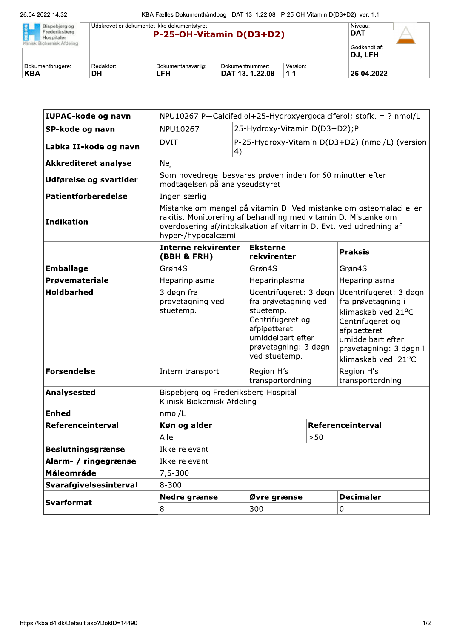| Bispebierg og<br>Frederiksberg<br>Hospitaler<br>Klinisk Biokemisk Afdeling | Udskrevet er dokumentet ikke dokumentstyret.<br>P-25-OH-Vitamin D(D3+D2) |                    |                 |          | Niveau:<br><b>DAT</b>    |  |
|----------------------------------------------------------------------------|--------------------------------------------------------------------------|--------------------|-----------------|----------|--------------------------|--|
|                                                                            |                                                                          |                    |                 |          | Godkendt af:<br>IDJ. LFH |  |
| Dokumentbrugere:                                                           | Redaktør:                                                                | Dokumentansvarlig: | Dokumentnummer: | Version: |                          |  |
| KBA                                                                        | DH                                                                       | LFH                | DAT 13, 1.22.08 | 1.1      | 26.04.2022               |  |

| IUPAC-kode og navn          | NPU10267 P-Calcifediol+25-Hydroxyergocalciferol; stofk. = ? nmol/L                                                                                                                                                               |                                                                                                                                                               |                   |                                                                                                                                                                             |  |
|-----------------------------|----------------------------------------------------------------------------------------------------------------------------------------------------------------------------------------------------------------------------------|---------------------------------------------------------------------------------------------------------------------------------------------------------------|-------------------|-----------------------------------------------------------------------------------------------------------------------------------------------------------------------------|--|
| SP-kode og navn             | 25-Hydroxy-Vitamin D(D3+D2);P<br>NPU10267                                                                                                                                                                                        |                                                                                                                                                               |                   |                                                                                                                                                                             |  |
| Labka II-kode og navn       | <b>DVIT</b>                                                                                                                                                                                                                      | P-25-Hydroxy-Vitamin D(D3+D2) (nmol/L) (version<br>4)                                                                                                         |                   |                                                                                                                                                                             |  |
| <b>Akkrediteret analyse</b> | Nej                                                                                                                                                                                                                              |                                                                                                                                                               |                   |                                                                                                                                                                             |  |
| Udførelse og svartider      | Som hovedregel besvares prøven inden for 60 minutter efter<br>modtagelsen på analyseudstyret                                                                                                                                     |                                                                                                                                                               |                   |                                                                                                                                                                             |  |
| Patientforberedelse         | Ingen særlig                                                                                                                                                                                                                     |                                                                                                                                                               |                   |                                                                                                                                                                             |  |
| Indikation                  | Mistanke om mangel på vitamin D. Ved mistanke om osteomalaci eller<br>rakitis. Monitorering af behandling med vitamin D. Mistanke om<br>overdosering af/intoksikation af vitamin D. Evt. ved udredning af<br>hyper-/hypocalcæmi. |                                                                                                                                                               |                   |                                                                                                                                                                             |  |
|                             | <b>Interne rekvirenter</b><br>(BBH & FRH)                                                                                                                                                                                        | <b>Eksterne</b><br>rekvirenter                                                                                                                                |                   | <b>Praksis</b>                                                                                                                                                              |  |
| <b>Emballage</b>            | Grøn4S                                                                                                                                                                                                                           | Grøn4S                                                                                                                                                        |                   | Grøn4S                                                                                                                                                                      |  |
| Prøvemateriale              | Heparinplasma                                                                                                                                                                                                                    | Heparinplasma                                                                                                                                                 |                   | Heparinplasma                                                                                                                                                               |  |
| <b>Holdbarhed</b>           | 3 døgn fra<br>prøvetagning ved<br>stuetemp.                                                                                                                                                                                      | Ucentrifugeret: 3 døgn<br>fra prøvetagning ved<br>stuetemp.<br>Centrifugeret og<br>afpipetteret<br>umiddelbart efter<br>prøvetagning: 3 døgn<br>ved stuetemp. |                   | Ucentrifugeret: 3 døgn<br>fra prøvetagning i<br>klimaskab ved 21°C<br>Centrifugeret og<br>afpipetteret<br>umiddelbart efter<br>prøvetagning: 3 døgn i<br>klimaskab ved 21°C |  |
| Forsendelse                 | Intern transport                                                                                                                                                                                                                 | Region H's<br>transportordning                                                                                                                                |                   | Region H's<br>transportordning                                                                                                                                              |  |
| Analysested                 | Bispebjerg og Frederiksberg Hospital<br>Klinisk Biokemisk Afdeling                                                                                                                                                               |                                                                                                                                                               |                   |                                                                                                                                                                             |  |
| <b>Enhed</b>                | nmol/L                                                                                                                                                                                                                           |                                                                                                                                                               |                   |                                                                                                                                                                             |  |
| Referenceinterval           | Køn og alder                                                                                                                                                                                                                     |                                                                                                                                                               | Referenceinterval |                                                                                                                                                                             |  |
|                             | Alle                                                                                                                                                                                                                             |                                                                                                                                                               | >50               |                                                                                                                                                                             |  |
| <b>Beslutningsgrænse</b>    | Ikke relevant                                                                                                                                                                                                                    |                                                                                                                                                               |                   |                                                                                                                                                                             |  |
| Alarm- / ringegrænse        | Ikke relevant                                                                                                                                                                                                                    |                                                                                                                                                               |                   |                                                                                                                                                                             |  |
| Måleområde                  | 7,5-300                                                                                                                                                                                                                          |                                                                                                                                                               |                   |                                                                                                                                                                             |  |
| Svarafgivelsesinterval      | $8 - 300$                                                                                                                                                                                                                        |                                                                                                                                                               |                   |                                                                                                                                                                             |  |
| <b>Svarformat</b>           | Nedre grænse                                                                                                                                                                                                                     | Øvre grænse                                                                                                                                                   |                   | <b>Decimaler</b>                                                                                                                                                            |  |
|                             | 8                                                                                                                                                                                                                                | 300                                                                                                                                                           |                   | 0                                                                                                                                                                           |  |